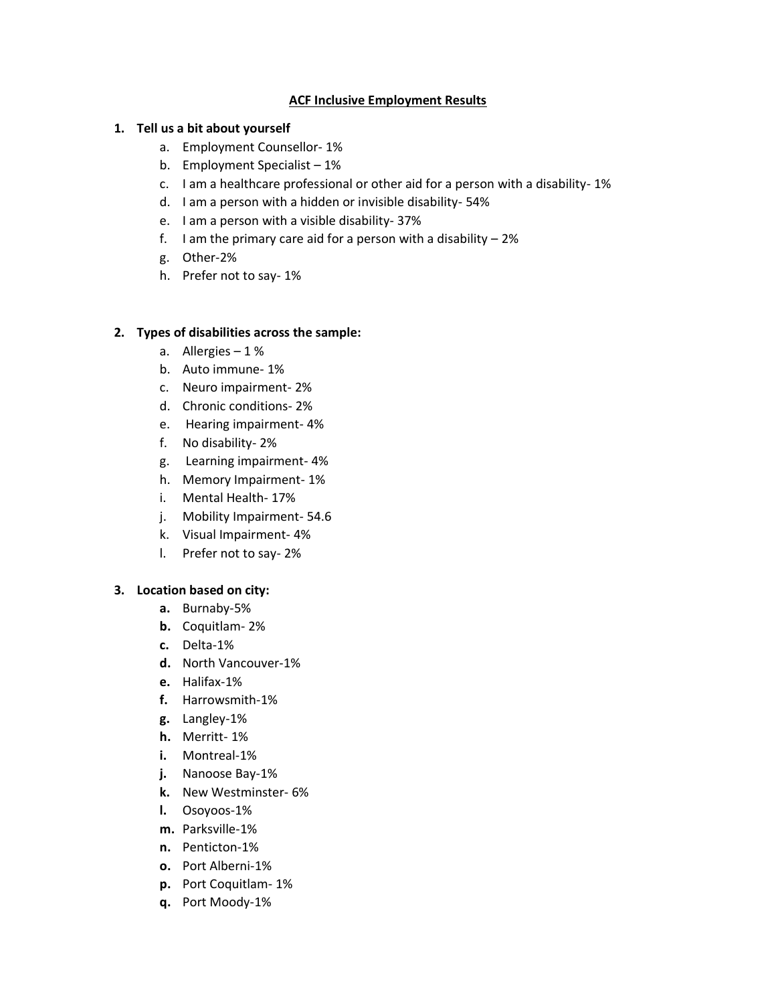### **ACF Inclusive Employment Results**

### **1. Tell us a bit about yourself**

- a. Employment Counsellor- 1%
- b. Employment Specialist 1%
- c. I am a healthcare professional or other aid for a person with a disability- 1%
- d. I am a person with a hidden or invisible disability- 54%
- e. I am a person with a visible disability- 37%
- f. I am the primary care aid for a person with a disability  $-2\%$
- g. Other-2%
- h. Prefer not to say- 1%

#### **2. Types of disabilities across the sample:**

- a. Allergies 1 %
- b. Auto immune- 1%
- c. Neuro impairment- 2%
- d. Chronic conditions- 2%
- e. Hearing impairment- 4%
- f. No disability- 2%
- g. Learning impairment- 4%
- h. Memory Impairment- 1%
- i. Mental Health- 17%
- j. Mobility Impairment- 54.6
- k. Visual Impairment- 4%
- l. Prefer not to say- 2%

#### **3. Location based on city:**

- **a.** Burnaby-5%
- **b.** Coquitlam- 2%
- **c.** Delta-1%
- **d.** North Vancouver-1%
- **e.** Halifax-1%
- **f.** Harrowsmith-1%
- **g.** Langley-1%
- **h.** Merritt- 1%
- **i.** Montreal-1%
- **j.** Nanoose Bay-1%
- **k.** New Westminster- 6%
- **l.** Osoyoos-1%
- **m.** Parksville-1%
- **n.** Penticton-1%
- **o.** Port Alberni-1%
- **p.** Port Coquitlam- 1%
- **q.** Port Moody-1%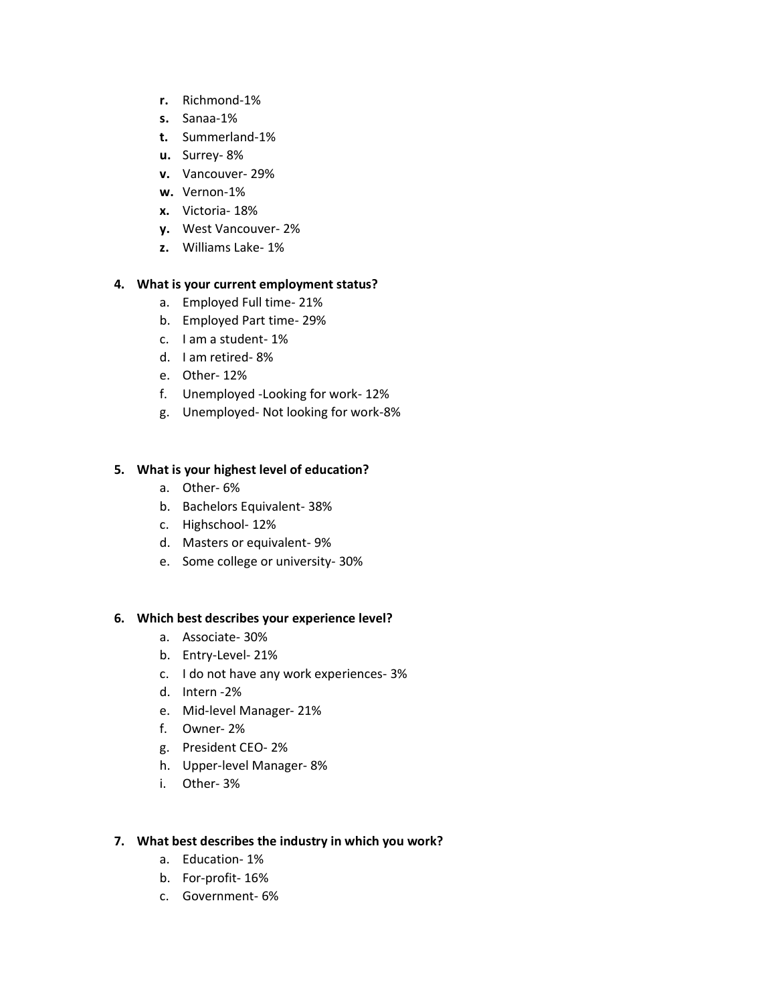- **r.** Richmond-1%
- **s.** Sanaa-1%
- **t.** Summerland-1%
- **u.** Surrey- 8%
- **v.** Vancouver- 29%
- **w.** Vernon-1%
- **x.** Victoria- 18%
- **y.** West Vancouver- 2%
- **z.** Williams Lake- 1%

#### **4. What is your current employment status?**

- a. Employed Full time- 21%
- b. Employed Part time- 29%
- c. I am a student- 1%
- d. I am retired- 8%
- e. Other- 12%
- f. Unemployed -Looking for work- 12%
- g. Unemployed- Not looking for work-8%

### **5. What is your highest level of education?**

- a. Other- 6%
- b. Bachelors Equivalent- 38%
- c. Highschool- 12%
- d. Masters or equivalent- 9%
- e. Some college or university- 30%

#### **6. Which best describes your experience level?**

- a. Associate- 30%
- b. Entry-Level- 21%
- c. I do not have any work experiences- 3%
- d. Intern -2%
- e. Mid-level Manager- 21%
- f. Owner- 2%
- g. President CEO- 2%
- h. Upper-level Manager- 8%
- i. Other- 3%

#### **7. What best describes the industry in which you work?**

- a. Education- 1%
- b. For-profit- 16%
- c. Government- 6%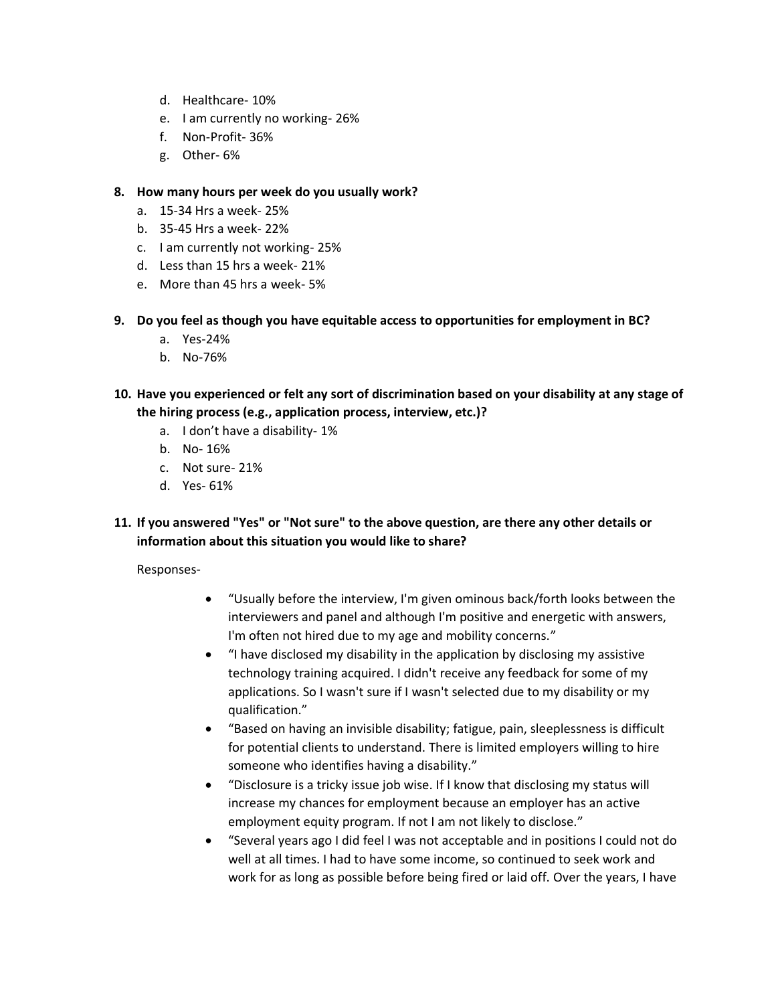- d. Healthcare- 10%
- e. I am currently no working- 26%
- f. Non-Profit- 36%
- g. Other- 6%
- **8. How many hours per week do you usually work?**
	- a. 15-34 Hrs a week- 25%
	- b. 35-45 Hrs a week- 22%
	- c. I am currently not working- 25%
	- d. Less than 15 hrs a week- 21%
	- e. More than 45 hrs a week- 5%
- **9. Do you feel as though you have equitable access to opportunities for employment in BC?**
	- a. Yes-24%
	- b. No-76%
- **10. Have you experienced or felt any sort of discrimination based on your disability at any stage of the hiring process (e.g., application process, interview, etc.)?**
	- a. I don't have a disability- 1%
	- b. No- 16%
	- c. Not sure- 21%
	- d. Yes- 61%
- **11. If you answered "Yes" or "Not sure" to the above question, are there any other details or information about this situation you would like to share?**

Responses-

- "Usually before the interview, I'm given ominous back/forth looks between the interviewers and panel and although I'm positive and energetic with answers, I'm often not hired due to my age and mobility concerns."
- "I have disclosed my disability in the application by disclosing my assistive technology training acquired. I didn't receive any feedback for some of my applications. So I wasn't sure if I wasn't selected due to my disability or my qualification."
- "Based on having an invisible disability; fatigue, pain, sleeplessness is difficult for potential clients to understand. There is limited employers willing to hire someone who identifies having a disability."
- "Disclosure is a tricky issue job wise. If I know that disclosing my status will increase my chances for employment because an employer has an active employment equity program. If not I am not likely to disclose."
- "Several years ago I did feel I was not acceptable and in positions I could not do well at all times. I had to have some income, so continued to seek work and work for as long as possible before being fired or laid off. Over the years, I have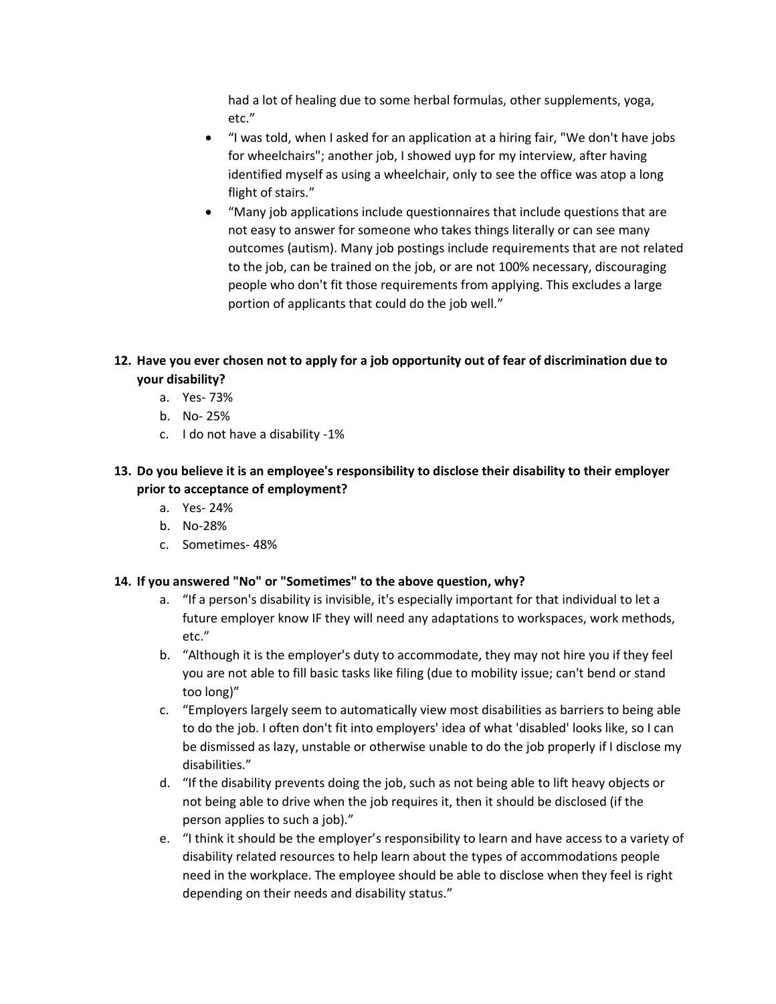had a lot of healing due to some herbal formulas, other supplements, yoga, etc."

- "I was told, when I asked for an application at a hiring fair, "We don't have jobs for wheelchairs"; another job, I showed uyp for my interview, after having identified myself as using a wheelchair, only to see the office was atop a long flight of stairs."
- "Many job applications include questionnaires that include questions that are not easy to answer for someone who takes things literally or can see many outcomes (autism). Many job postings include requirements that are not related to the job, can be trained on the job, or are not 100% necessary, discouraging people who don't fit those requirements from applying. This excludes a large portion of applicants that could do the job well."

### **12. Have you ever chosen not to apply for a job opportunity out of fear of discrimination due to your disability?**

- a. Yes- 73%
- b. No- 25%
- c. I do not have a disability -1%
- **13. Do you believe it is an employee's responsibility to disclose their disability to their employer prior to acceptance of employment?**
	- a. Yes- 24%
	- b. No-28%
	- c. Sometimes- 48%

#### **14. If you answered "No" or "Sometimes" to the above question, why?**

- a. "If a person's disability is invisible, it's especially important for that individual to let a future employer know IF they will need any adaptations to workspaces, work methods, etc."
- b. "Although it is the employer's duty to accommodate, they may not hire you if they feel you are not able to fill basic tasks like filing (due to mobility issue; can't bend or stand too long)"
- c. "Employers largely seem to automatically view most disabilities as barriers to being able to do the job. I often don't fit into employers' idea of what 'disabled' looks like, so I can be dismissed as lazy, unstable or otherwise unable to do the job properly if I disclose my disabilities."
- d. "If the disability prevents doing the job, such as not being able to lift heavy objects or not being able to drive when the job requires it, then it should be disclosed (if the person applies to such a job)."
- e. "I think it should be the employer's responsibility to learn and have access to a variety of disability related resources to help learn about the types of accommodations people need in the workplace. The employee should be able to disclose when they feel is right depending on their needs and disability status."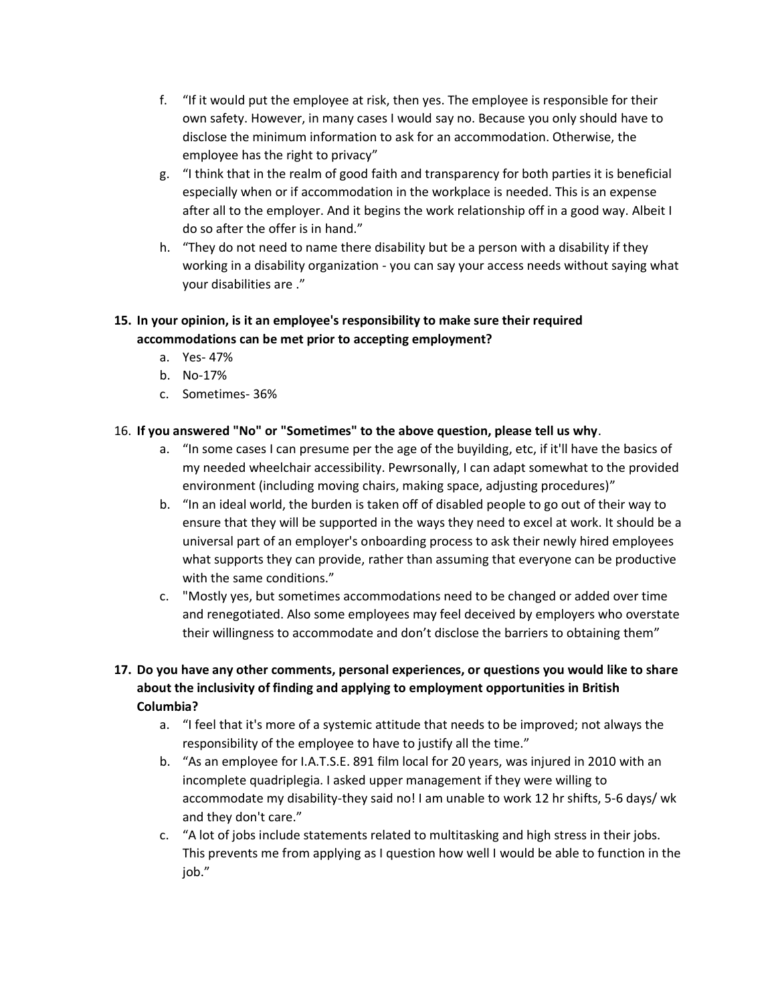- f. "If it would put the employee at risk, then yes. The employee is responsible for their own safety. However, in many cases I would say no. Because you only should have to disclose the minimum information to ask for an accommodation. Otherwise, the employee has the right to privacy"
- g. "I think that in the realm of good faith and transparency for both parties it is beneficial especially when or if accommodation in the workplace is needed. This is an expense after all to the employer. And it begins the work relationship off in a good way. Albeit I do so after the offer is in hand."
- h. "They do not need to name there disability but be a person with a disability if they working in a disability organization - you can say your access needs without saying what your disabilities are ."

### **15. In your opinion, is it an employee's responsibility to make sure their required accommodations can be met prior to accepting employment?**

- a. Yes- 47%
- b. No-17%
- c. Sometimes- 36%

### 16. **If you answered "No" or "Sometimes" to the above question, please tell us why**.

- a. "In some cases I can presume per the age of the buyilding, etc, if it'll have the basics of my needed wheelchair accessibility. Pewrsonally, I can adapt somewhat to the provided environment (including moving chairs, making space, adjusting procedures)"
- b. "In an ideal world, the burden is taken off of disabled people to go out of their way to ensure that they will be supported in the ways they need to excel at work. It should be a universal part of an employer's onboarding process to ask their newly hired employees what supports they can provide, rather than assuming that everyone can be productive with the same conditions."
- c. "Mostly yes, but sometimes accommodations need to be changed or added over time and renegotiated. Also some employees may feel deceived by employers who overstate their willingness to accommodate and don't disclose the barriers to obtaining them"

## **17. Do you have any other comments, personal experiences, or questions you would like to share about the inclusivity of finding and applying to employment opportunities in British Columbia?**

- a. "I feel that it's more of a systemic attitude that needs to be improved; not always the responsibility of the employee to have to justify all the time."
- b. "As an employee for I.A.T.S.E. 891 film local for 20 years, was injured in 2010 with an incomplete quadriplegia. I asked upper management if they were willing to accommodate my disability-they said no! I am unable to work 12 hr shifts, 5-6 days/ wk and they don't care."
- c. "A lot of jobs include statements related to multitasking and high stress in their jobs. This prevents me from applying as I question how well I would be able to function in the job."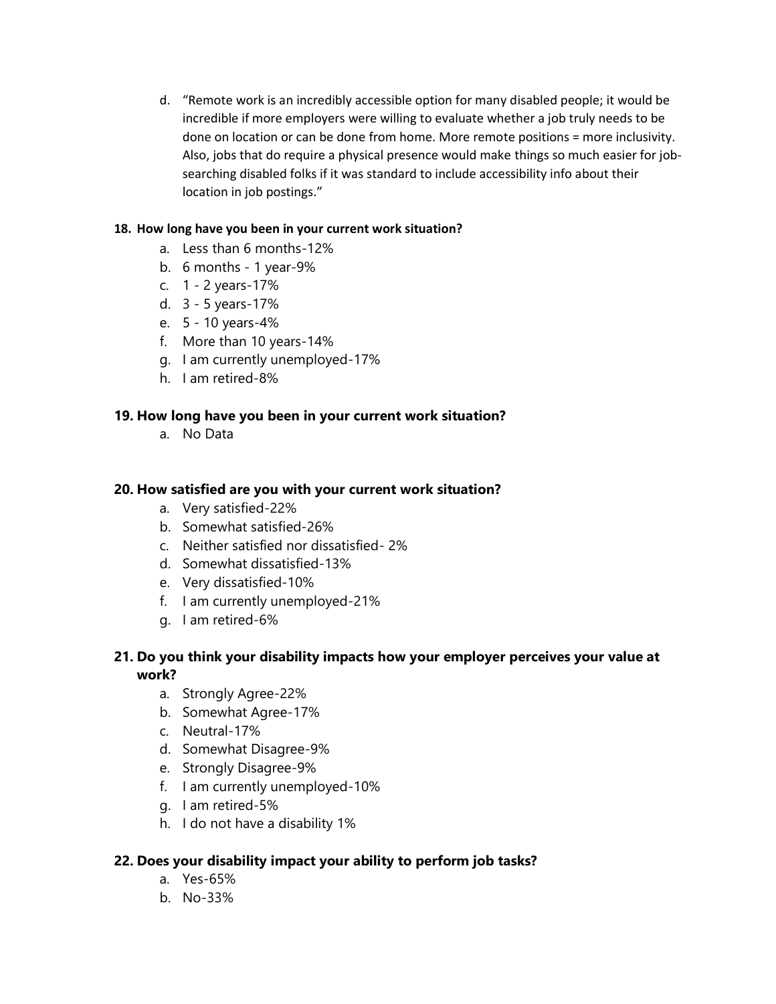d. "Remote work is an incredibly accessible option for many disabled people; it would be incredible if more employers were willing to evaluate whether a job truly needs to be done on location or can be done from home. More remote positions = more inclusivity. Also, jobs that do require a physical presence would make things so much easier for jobsearching disabled folks if it was standard to include accessibility info about their location in job postings."

### **18. How long have you been in your current work situation?**

- a. Less than 6 months-12%
- b. 6 months 1 year-9%
- c. 1 2 years-17%
- d. 3 5 years-17%
- e. 5 10 years-4%
- f. More than 10 years-14%
- g. I am currently unemployed-17%
- h. I am retired-8%

### **19. How long have you been in your current work situation?**

a. No Data

### **20. How satisfied are you with your current work situation?**

- a. Very satisfied-22%
- b. Somewhat satisfied-26%
- c. Neither satisfied nor dissatisfied- 2%
- d. Somewhat dissatisfied-13%
- e. Very dissatisfied-10%
- f. I am currently unemployed-21%
- g. I am retired-6%

## **21. Do you think your disability impacts how your employer perceives your value at work?**

- a. Strongly Agree-22%
- b. Somewhat Agree-17%
- c. Neutral-17%
- d. Somewhat Disagree-9%
- e. Strongly Disagree-9%
- f. I am currently unemployed-10%
- g. I am retired-5%
- h. I do not have a disability 1%

### **22. Does your disability impact your ability to perform job tasks?**

- a. Yes-65%
- b. No-33%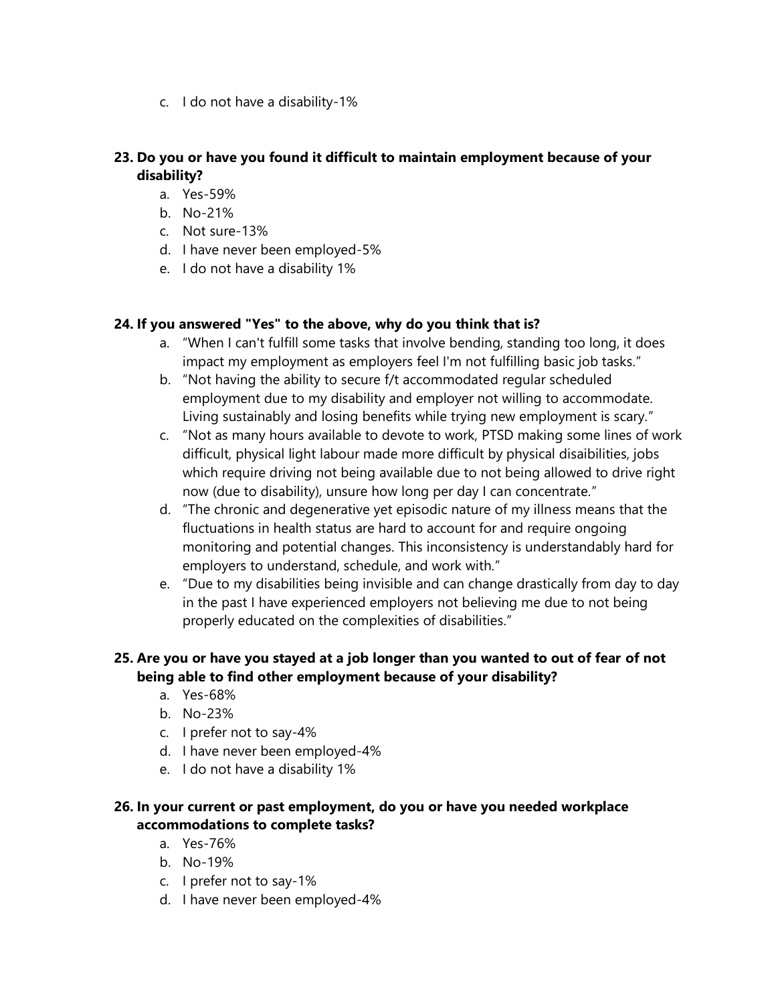c. I do not have a disability-1%

# **23. Do you or have you found it difficult to maintain employment because of your disability?**

- a. Yes-59%
- b. No-21%
- c. Not sure-13%
- d. I have never been employed-5%
- e. I do not have a disability 1%

## **24. If you answered "Yes" to the above, why do you think that is?**

- a. "When I can't fulfill some tasks that involve bending, standing too long, it does impact my employment as employers feel I'm not fulfilling basic job tasks."
- b. "Not having the ability to secure f/t accommodated regular scheduled employment due to my disability and employer not willing to accommodate. Living sustainably and losing benefits while trying new employment is scary."
- c. "Not as many hours available to devote to work, PTSD making some lines of work difficult, physical light labour made more difficult by physical disaibilities, jobs which require driving not being available due to not being allowed to drive right now (due to disability), unsure how long per day I can concentrate."
- d. "The chronic and degenerative yet episodic nature of my illness means that the fluctuations in health status are hard to account for and require ongoing monitoring and potential changes. This inconsistency is understandably hard for employers to understand, schedule, and work with."
- e. "Due to my disabilities being invisible and can change drastically from day to day in the past I have experienced employers not believing me due to not being properly educated on the complexities of disabilities."

# **25. Are you or have you stayed at a job longer than you wanted to out of fear of not being able to find other employment because of your disability?**

- a. Yes-68%
- b. No-23%
- c. I prefer not to say-4%
- d. I have never been employed-4%
- e. I do not have a disability 1%

## **26. In your current or past employment, do you or have you needed workplace accommodations to complete tasks?**

- a. Yes-76%
- b. No-19%
- c. I prefer not to say-1%
- d. I have never been employed-4%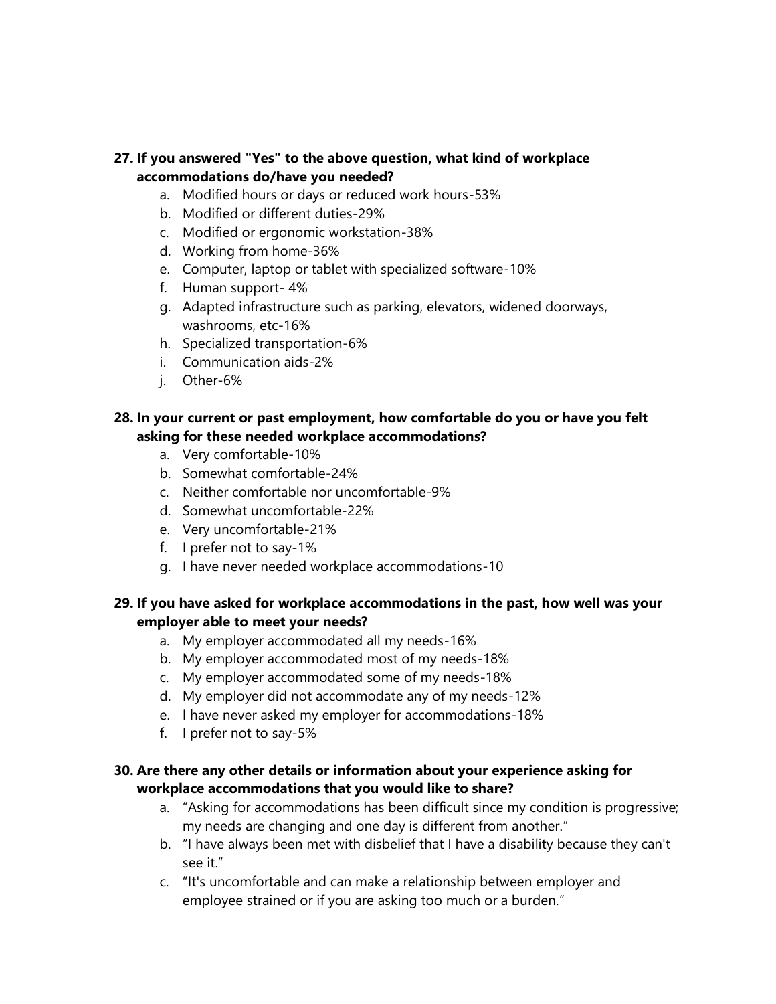## **27. If you answered "Yes" to the above question, what kind of workplace accommodations do/have you needed?**

- a. Modified hours or days or reduced work hours-53%
- b. Modified or different duties-29%
- c. Modified or ergonomic workstation-38%
- d. Working from home-36%
- e. Computer, laptop or tablet with specialized software-10%
- f. Human support- 4%
- g. Adapted infrastructure such as parking, elevators, widened doorways, washrooms, etc-16%
- h. Specialized transportation-6%
- i. Communication aids-2%
- j. Other-6%

### **28. In your current or past employment, how comfortable do you or have you felt asking for these needed workplace accommodations?**

- a. Very comfortable-10%
- b. Somewhat comfortable-24%
- c. Neither comfortable nor uncomfortable-9%
- d. Somewhat uncomfortable-22%
- e. Very uncomfortable-21%
- f. I prefer not to say-1%
- g. I have never needed workplace accommodations-10

## **29. If you have asked for workplace accommodations in the past, how well was your employer able to meet your needs?**

- a. My employer accommodated all my needs-16%
- b. My employer accommodated most of my needs-18%
- c. My employer accommodated some of my needs-18%
- d. My employer did not accommodate any of my needs-12%
- e. I have never asked my employer for accommodations-18%
- f. I prefer not to say-5%

## **30. Are there any other details or information about your experience asking for workplace accommodations that you would like to share?**

- a. "Asking for accommodations has been difficult since my condition is progressive; my needs are changing and one day is different from another."
- b. "I have always been met with disbelief that I have a disability because they can't see it."
- c. "It's uncomfortable and can make a relationship between employer and employee strained or if you are asking too much or a burden."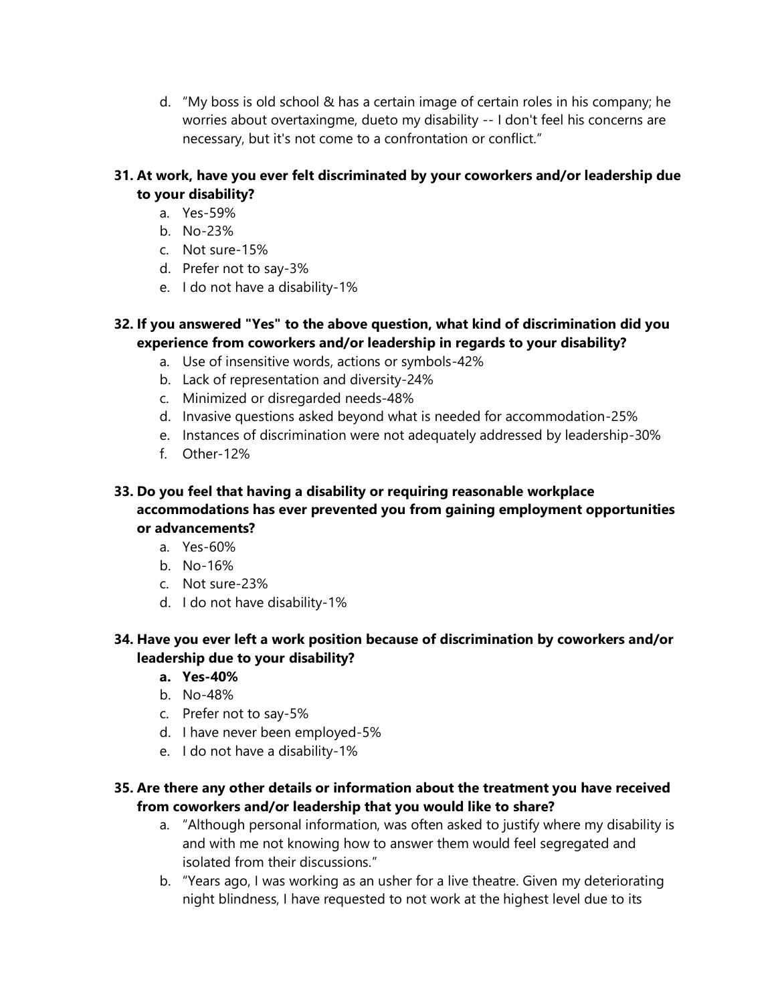d. "My boss is old school & has a certain image of certain roles in his company; he worries about overtaxingme, dueto my disability -- I don't feel his concerns are necessary, but it's not come to a confrontation or conflict."

## **31. At work, have you ever felt discriminated by your coworkers and/or leadership due to your disability?**

- a. Yes-59%
- b. No-23%
- c. Not sure-15%
- d. Prefer not to say-3%
- e. I do not have a disability-1%

## **32. If you answered "Yes" to the above question, what kind of discrimination did you experience from coworkers and/or leadership in regards to your disability?**

- a. Use of insensitive words, actions or symbols-42%
- b. Lack of representation and diversity-24%
- c. Minimized or disregarded needs-48%
- d. Invasive questions asked beyond what is needed for accommodation-25%
- e. Instances of discrimination were not adequately addressed by leadership-30%
- f. Other-12%

### **33. Do you feel that having a disability or requiring reasonable workplace accommodations has ever prevented you from gaining employment opportunities or advancements?**

- a. Yes-60%
- b. No-16%
- c. Not sure-23%
- d. I do not have disability-1%

## **34. Have you ever left a work position because of discrimination by coworkers and/or leadership due to your disability?**

- **a. Yes-40%**
- b. No-48%
- c. Prefer not to say-5%
- d. I have never been employed-5%
- e. I do not have a disability-1%

## **35. Are there any other details or information about the treatment you have received from coworkers and/or leadership that you would like to share?**

- a. "Although personal information, was often asked to justify where my disability is and with me not knowing how to answer them would feel segregated and isolated from their discussions."
- b. "Years ago, I was working as an usher for a live theatre. Given my deteriorating night blindness, I have requested to not work at the highest level due to its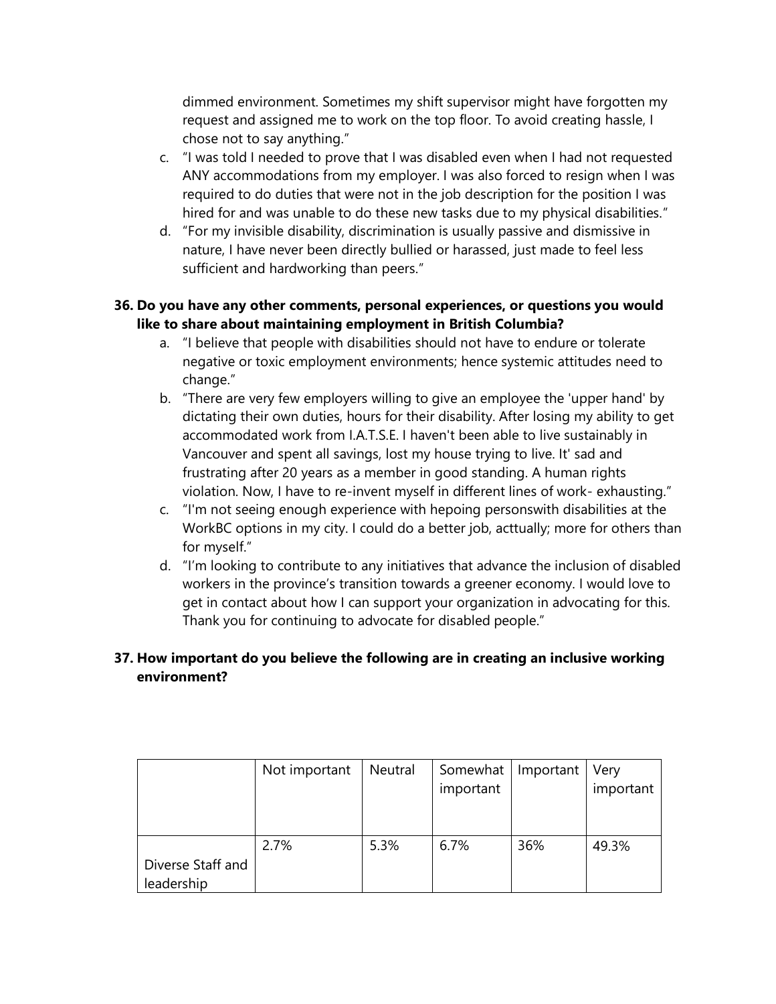dimmed environment. Sometimes my shift supervisor might have forgotten my request and assigned me to work on the top floor. To avoid creating hassle, I chose not to say anything."

- c. "I was told I needed to prove that I was disabled even when I had not requested ANY accommodations from my employer. I was also forced to resign when I was required to do duties that were not in the job description for the position I was hired for and was unable to do these new tasks due to my physical disabilities."
- d. "For my invisible disability, discrimination is usually passive and dismissive in nature, I have never been directly bullied or harassed, just made to feel less sufficient and hardworking than peers."

## **36. Do you have any other comments, personal experiences, or questions you would like to share about maintaining employment in British Columbia?**

- a. "I believe that people with disabilities should not have to endure or tolerate negative or toxic employment environments; hence systemic attitudes need to change."
- b. "There are very few employers willing to give an employee the 'upper hand' by dictating their own duties, hours for their disability. After losing my ability to get accommodated work from I.A.T.S.E. I haven't been able to live sustainably in Vancouver and spent all savings, lost my house trying to live. It' sad and frustrating after 20 years as a member in good standing. A human rights violation. Now, I have to re-invent myself in different lines of work- exhausting."
- c. "I'm not seeing enough experience with hepoing personswith disabilities at the WorkBC options in my city. I could do a better job, acttually; more for others than for myself."
- d. "I'm looking to contribute to any initiatives that advance the inclusion of disabled workers in the province's transition towards a greener economy. I would love to get in contact about how I can support your organization in advocating for this. Thank you for continuing to advocate for disabled people."

# **37. How important do you believe the following are in creating an inclusive working environment?**

|                                 | Not important | Neutral | Somewhat<br>important | Important | Very<br>important |
|---------------------------------|---------------|---------|-----------------------|-----------|-------------------|
| Diverse Staff and<br>leadership | 2.7%          | 5.3%    | 6.7%                  | 36%       | 49.3%             |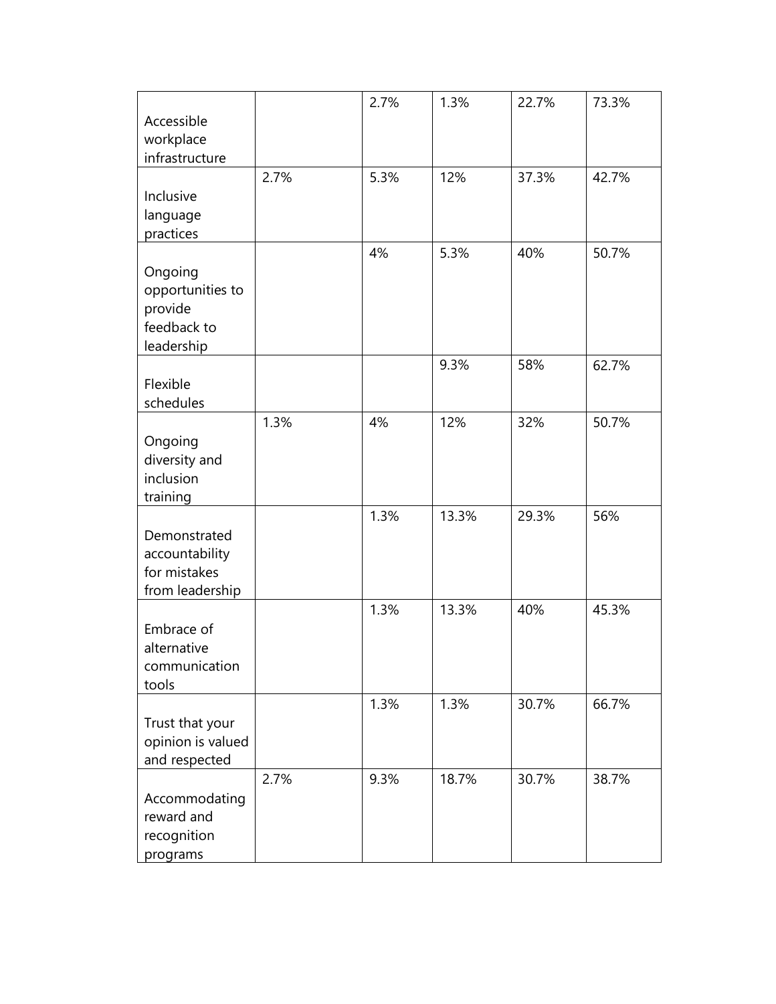|                                |      | 2.7% | 1.3%  | 22.7% | 73.3% |
|--------------------------------|------|------|-------|-------|-------|
| Accessible                     |      |      |       |       |       |
| workplace                      |      |      |       |       |       |
| infrastructure                 |      |      |       |       |       |
|                                | 2.7% | 5.3% | 12%   | 37.3% | 42.7% |
|                                |      |      |       |       |       |
| Inclusive                      |      |      |       |       |       |
| language                       |      |      |       |       |       |
| practices                      |      |      |       |       |       |
|                                |      | 4%   | 5.3%  | 40%   | 50.7% |
| Ongoing                        |      |      |       |       |       |
| opportunities to               |      |      |       |       |       |
| provide                        |      |      |       |       |       |
| feedback to                    |      |      |       |       |       |
| leadership                     |      |      |       |       |       |
|                                |      |      | 9.3%  | 58%   | 62.7% |
| Flexible                       |      |      |       |       |       |
| schedules                      |      |      |       |       |       |
|                                | 1.3% | 4%   | 12%   | 32%   | 50.7% |
| Ongoing                        |      |      |       |       |       |
| diversity and                  |      |      |       |       |       |
| inclusion                      |      |      |       |       |       |
| training                       |      |      |       |       |       |
|                                |      | 1.3% | 13.3% | 29.3% | 56%   |
| Demonstrated                   |      |      |       |       |       |
|                                |      |      |       |       |       |
| accountability<br>for mistakes |      |      |       |       |       |
|                                |      |      |       |       |       |
| from leadership                |      |      |       |       |       |
|                                |      | 1.3% | 13.3% | 40%   | 45.3% |
| Embrace of                     |      |      |       |       |       |
| alternative                    |      |      |       |       |       |
| communication                  |      |      |       |       |       |
| tools                          |      |      |       |       |       |
|                                |      | 1.3% | 1.3%  | 30.7% | 66.7% |
| Trust that your                |      |      |       |       |       |
| opinion is valued              |      |      |       |       |       |
| and respected                  |      |      |       |       |       |
|                                | 2.7% | 9.3% | 18.7% | 30.7% | 38.7% |
| Accommodating                  |      |      |       |       |       |
| reward and                     |      |      |       |       |       |
| recognition                    |      |      |       |       |       |
| programs                       |      |      |       |       |       |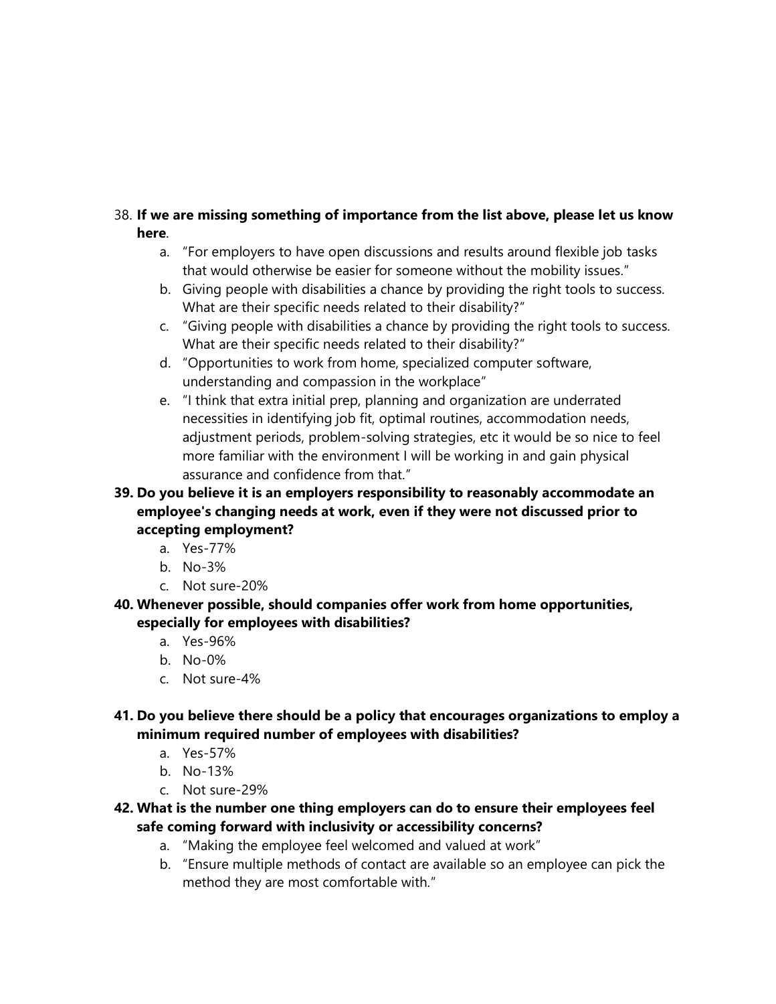## 38. **If we are missing something of importance from the list above, please let us know here**.

- a. "For employers to have open discussions and results around flexible job tasks that would otherwise be easier for someone without the mobility issues."
- b. Giving people with disabilities a chance by providing the right tools to success. What are their specific needs related to their disability?"
- c. "Giving people with disabilities a chance by providing the right tools to success. What are their specific needs related to their disability?"
- d. "Opportunities to work from home, specialized computer software, understanding and compassion in the workplace"
- e. "I think that extra initial prep, planning and organization are underrated necessities in identifying job fit, optimal routines, accommodation needs, adjustment periods, problem-solving strategies, etc it would be so nice to feel more familiar with the environment I will be working in and gain physical assurance and confidence from that."
- **39. Do you believe it is an employers responsibility to reasonably accommodate an employee's changing needs at work, even if they were not discussed prior to accepting employment?**
	- a. Yes-77%
	- b. No-3%
	- c. Not sure-20%
- **40. Whenever possible, should companies offer work from home opportunities, especially for employees with disabilities?**
	- a. Yes-96%
	- b. No-0%
	- c. Not sure-4%
- **41. Do you believe there should be a policy that encourages organizations to employ a minimum required number of employees with disabilities?**
	- a. Yes-57%
	- b. No-13%
	- c. Not sure-29%
- **42. What is the number one thing employers can do to ensure their employees feel safe coming forward with inclusivity or accessibility concerns?**
	- a. "Making the employee feel welcomed and valued at work"
	- b. "Ensure multiple methods of contact are available so an employee can pick the method they are most comfortable with."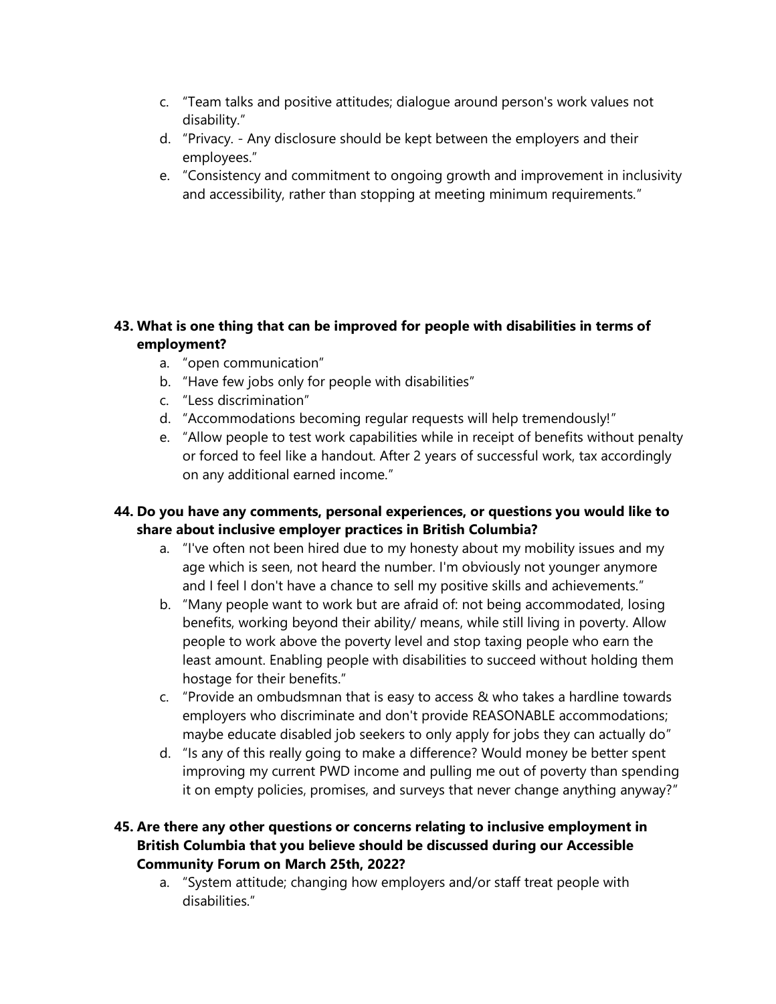- c. "Team talks and positive attitudes; dialogue around person's work values not disability."
- d. "Privacy. Any disclosure should be kept between the employers and their employees."
- e. "Consistency and commitment to ongoing growth and improvement in inclusivity and accessibility, rather than stopping at meeting minimum requirements."

## **43. What is one thing that can be improved for people with disabilities in terms of employment?**

- a. "open communication"
- b. "Have few jobs only for people with disabilities"
- c. "Less discrimination"
- d. "Accommodations becoming regular requests will help tremendously!"
- e. "Allow people to test work capabilities while in receipt of benefits without penalty or forced to feel like a handout. After 2 years of successful work, tax accordingly on any additional earned income."

## **44. Do you have any comments, personal experiences, or questions you would like to share about inclusive employer practices in British Columbia?**

- a. "I've often not been hired due to my honesty about my mobility issues and my age which is seen, not heard the number. I'm obviously not younger anymore and I feel I don't have a chance to sell my positive skills and achievements."
- b. "Many people want to work but are afraid of: not being accommodated, losing benefits, working beyond their ability/ means, while still living in poverty. Allow people to work above the poverty level and stop taxing people who earn the least amount. Enabling people with disabilities to succeed without holding them hostage for their benefits."
- c. "Provide an ombudsmnan that is easy to access & who takes a hardline towards employers who discriminate and don't provide REASONABLE accommodations; maybe educate disabled job seekers to only apply for jobs they can actually do"
- d. "Is any of this really going to make a difference? Would money be better spent improving my current PWD income and pulling me out of poverty than spending it on empty policies, promises, and surveys that never change anything anyway?"

## **45. Are there any other questions or concerns relating to inclusive employment in British Columbia that you believe should be discussed during our Accessible Community Forum on March 25th, 2022?**

a. "System attitude; changing how employers and/or staff treat people with disabilities."